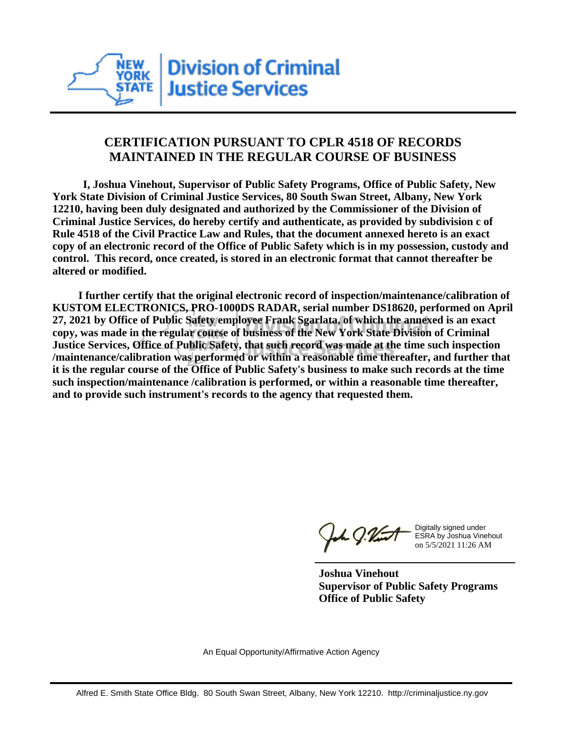

## **CERTIFICATION PURSUANT TO CPLR 4518 OF RECORDS MAINTAINED IN THE REGULAR COURSE OF BUSINESS**

 **I, Joshua Vinehout, Supervisor of Public Safety Programs, Office of Public Safety, New York State Division of Criminal Justice Services, 80 South Swan Street, Albany, New York 12210, having been duly designated and authorized by the Commissioner of the Division of Criminal Justice Services, do hereby certify and authenticate, as provided by subdivision c of Rule 4518 of the Civil Practice Law and Rules, that the document annexed hereto is an exact copy of an electronic record of the Office of Public Safety which is in my possession, custody and control. This record, once created, is stored in an electronic format that cannot thereafter be altered or modified.**

 **I further certify that the original electronic record of inspection/maintenance/calibration of KUSTOM ELECTRONICS, PRO-1000DS RADAR, serial number DS18620, performed on April 27, 2021 by Office of Public Safety employee Frank Sgarlata, of which the annexed is an exact copy, was made in the regular course of business of the New York State Division of Criminal Justice Services, Office of Public Safety, that such record was made at the time such inspection /maintenance/calibration was performed or within a reasonable time thereafter, and further that it is the regular course of the Office of Public Safety's business to make such records at the time such inspection/maintenance /calibration is performed, or within a reasonable time thereafter, and to provide such instrument's records to the agency that requested them.**

the J. Vint

Digitally signed under ESRA by Joshua Vinehout on 5/5/2021 11:26 AM

**Joshua Vinehout Supervisor of Public Safety Programs Office of Public Safety**

An Equal Opportunity/Affirmative Action Agency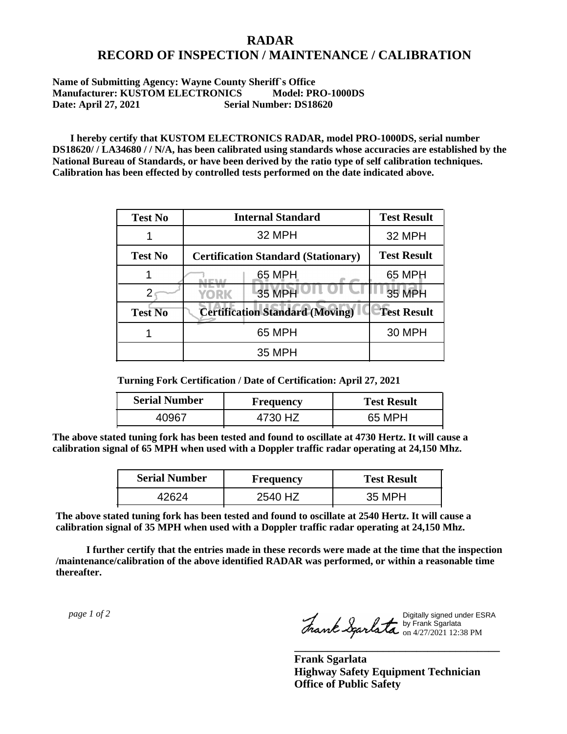## **RADAR RECORD OF INSPECTION / MAINTENANCE / CALIBRATION**

## **Name of Submitting Agency: Wayne County Sheriff`s Office Manufacturer: KUSTOM ELECTRONICS Model: PRO-1000DS Date: April 27, 2021 Serial Number: DS18620**

 **I hereby certify that KUSTOM ELECTRONICS RADAR, model PRO-1000DS, serial number DS18620/ / LA34680 / / N/A, has been calibrated using standards whose accuracies are established by the National Bureau of Standards, or have been derived by the ratio type of self calibration techniques. Calibration has been effected by controlled tests performed on the date indicated above.**

| <b>Test No</b> | <b>Internal Standard</b>                   | <b>Test Result</b> |
|----------------|--------------------------------------------|--------------------|
|                | 32 MPH                                     | 32 MPH             |
| <b>Test No</b> | <b>Certification Standard (Stationary)</b> | <b>Test Result</b> |
|                | 65 MPH                                     | 65 MPH             |
|                | 35 MPH<br>YORK                             | 35 MPH             |
| <b>Test No</b> | <b>Certification Standard (Moving)</b>     | <b>Test Result</b> |
|                | 65 MPH                                     | <b>30 MPH</b>      |
|                | <b>35 MPH</b>                              |                    |

**Turning Fork Certification / Date of Certification: April 27, 2021**

| <b>Serial Number</b> | <b>Frequency</b> | <b>Test Result</b> |
|----------------------|------------------|--------------------|
| .೧୨६७                | 4730 HZ          | 65 MPH             |

**The above stated tuning fork has been tested and found to oscillate at 4730 Hertz. It will cause a calibration signal of 65 MPH when used with a Doppler traffic radar operating at 24,150 Mhz.**

| <b>Serial Number</b> | Frequency | <b>Test Result</b> |
|----------------------|-----------|--------------------|
|                      | 2540 HZ   | 35 MPH             |

**The above stated tuning fork has been tested and found to oscillate at 2540 Hertz. It will cause a calibration signal of 35 MPH when used with a Doppler traffic radar operating at 24,150 Mhz.**

 **I further certify that the entries made in these records were made at the time that the inspection /maintenance/calibration of the above identified RADAR was performed, or within a reasonable time thereafter.**

 *page 1 of 2* 

Digitally signed under ESRA by Frank Sgarlata on 4/27/2021 12:38 PM

**\_\_\_\_\_\_\_\_\_\_\_\_\_\_\_\_\_\_\_\_\_\_\_\_\_\_\_\_\_\_\_\_\_\_\_\_\_**

**Frank Sgarlata Highway Safety Equipment Technician Office of Public Safety**